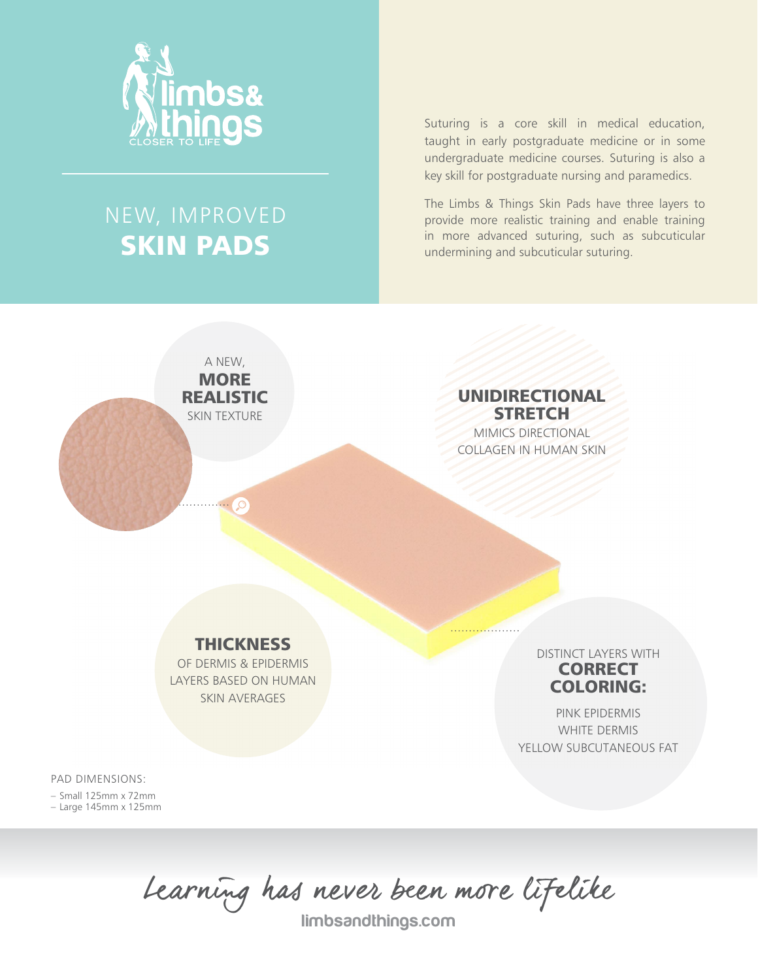

# NEW, IMPROVED SKIN PADS

A NEW, **MORE** REALISTIC SKIN TEXTURE

Suturing is a core skill in medical education, taught in early postgraduate medicine or in some undergraduate medicine courses. Suturing is also a key skill for postgraduate nursing and paramedics.

The Limbs & Things Skin Pads have three layers to provide more realistic training and enable training in more advanced suturing, such as subcuticular undermining and subcuticular suturing.

> UNIDIRECTIONAL **STRETCH** MIMICS DIRECTIONAL COLLAGEN IN HUMAN SKIN

### **THICKNESS**

OF DERMIS & EPIDERMIS LAYERS BASED ON HUMAN SKIN AVERAGES

DISTINCT LAYERS WITH **CORRECT** COLORING:

PINK EPIDERMIS WHITE DERMIS YELLOW SUBCUTANEOUS FAT

PAD DIMENSIONS:

– Small 125mm x 72mm – Large 145mm x 125mm

Learning has never been more lifelike

limbsandthings.com